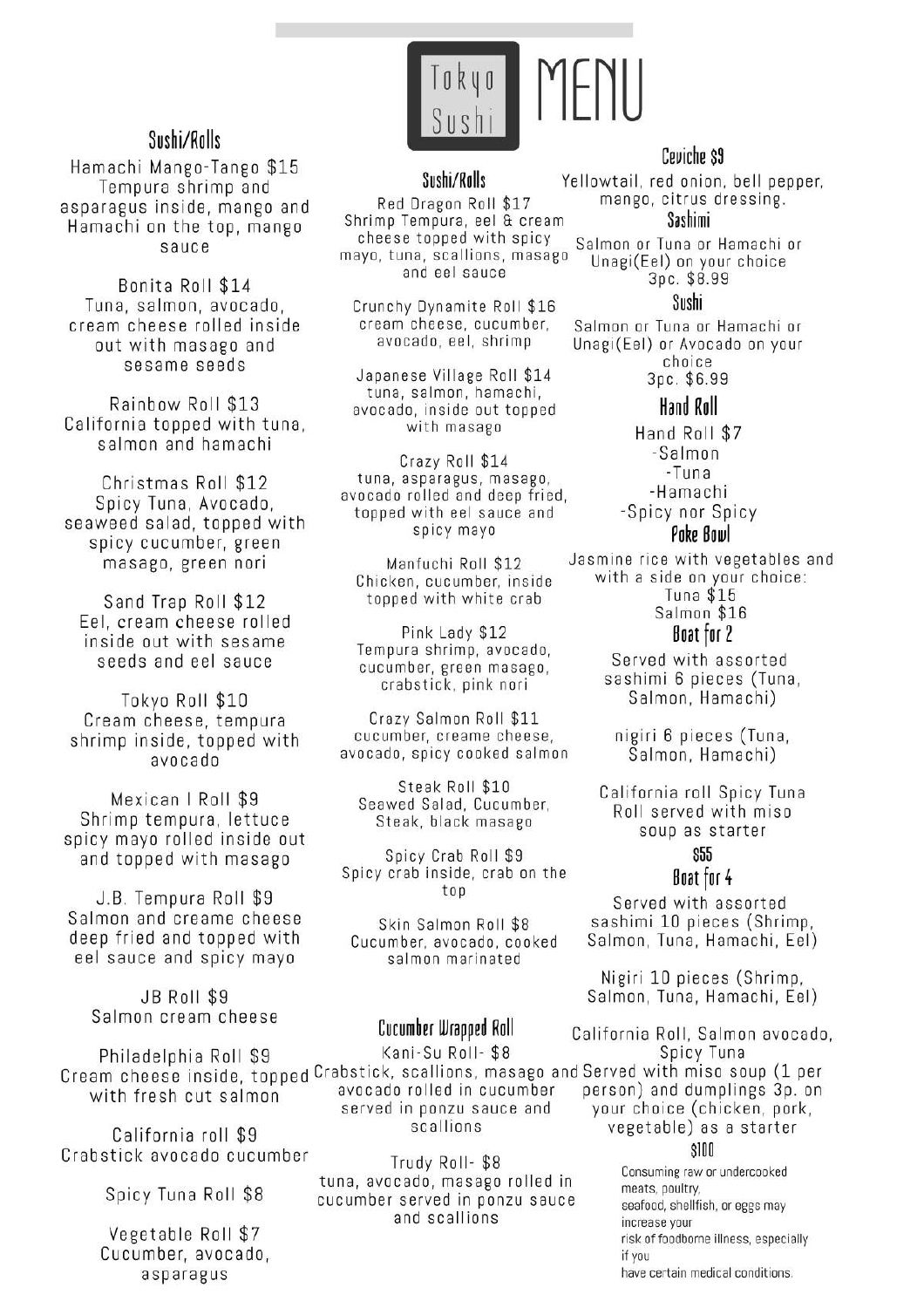

# Sushi/Rolls

Hamachi Mango-Tango \$15 Tempura shrimp and asparagus inside, mango and Hamachi on the top, mango sauce

Bonita Roll \$14 Tuna, salmon, avocado. cream cheese rolled inside out with masago and sesame seeds

Rainbow Roll \$13 California topped with tuna, salmon and hamachi

Christmas Roll \$12 Spicy Tuna, Avocado, seaweed salad, topped with spicy cucumber, green masago, green nori

Sand Trap Roll \$12 Eel, cream cheese rolled inside out with sesame seeds and eel sauce

Tokyo Roll \$10 Cream cheese, tempura shrimp inside, topped with obspovs

Mexican | Roll \$9 Shrimp tempura, lettuce spicy mayo rolled inside out and topped with masago

J.B. Tempura Roll \$9 Salmon and creame cheese deep fried and topped with eel sauce and spicy mayo

> **JB Roll \$9** Salmon cream cheese

Philadelphia Roll \$9 with fresh cut salmon

California roll \$9 Crabstick avocado cucumber

Spicy Tuna Roll \$8

Vegetable Roll \$7 Cucumber, avocado, asparagus

# Sushi/Ralls

Red Dragon Roll \$17 Shrimp Tempura, eel & cream cheese topped with spicy mayo, tuna, scallions, masago and eel sauce

Crunchy Dynamite Roll \$16 cream cheese, cucumber, avocado, eel, shrimp

Japanese Village Roll \$14 tuna, salmon, hamachi, avocado, inside out topped with masago

Crazy Roll \$14 tuna, asparagus, masago, avocado rolled and deep fried. topped with eel sauce and spicy mayo

Manfuchi Roll \$12 Chicken, cucumber, inside topped with white crab

Pink Lady \$12 Tempura shrimp, avocado, cucumber, green masago, crabstick, pink nori

Crazy Salmon Roll \$11 cucumber, creame cheese, avocado, spicy cooked salmon

Steak Roll \$10 Seawed Salad, Cucumber, Steak, black masago

Spicy Crab Roll \$9 Spicy crab inside, crab on the top

Skin Salmon Roll \$8 Cucumber, avocado, cooked salmon marinated

# Cucumber Wrapped Roll

Kani-Su Roll- \$8 Cream cheese inside, topped Crabstick, scallions, masago and Served with miso soup (1 per avocado rolled in cucumber served in ponzu sauce and scallions

> Trudy Roll-\$8 tuna, avocado, masago rolled in cucumber served in ponzu sauce and scallions

# Ceviche \$9

Yellowtail, red onion, bell pepper, mango, citrus dressing.

Sashimi

Salmon or Tuna or Hamachi or Unagi(Eel) on your choice 3pc. \$8.99

#### Sushi

Salmon or Tuna or Hamachi or Unagi(Eel) or Avocado on your choice Зрс. \$6.99

# Hand Roll

Hand Roll \$7 -Salmon -Tuna -Hamachi -Spicy nor Spicy Poke Bowl

Jasmine rice with vegetables and with a side on your choice: Tuna  $$15$ Salmon \$16

# Boat for 2

Served with assorted sashimi 6 pieces (Tuna, Salmon, Hamachi)

nigiri 6 pieces (Tuna, Salmon, Hamachi)

California roll Spicy Tuna Roll served with miso soup as starter

# \$55

#### Boat for 4

Served with assorted sashimi 10 pieces (Shrimp, Salmon, Tuna, Hamachi, Eel)

Nigiri 10 pieces (Shrimp, Salmon, Tuna, Hamachi, Eel)

California Roll, Salmon avocado, Spicy Tuna person) and dumplings 3p. on your choice (chicken, pork, vegetable) as a starter  $$100$ 

> Consuming raw or undercooked meats, poultry. seafood, shellfish, or eggs may increase your risk of foodborne illness, especially if you have certain medical conditions.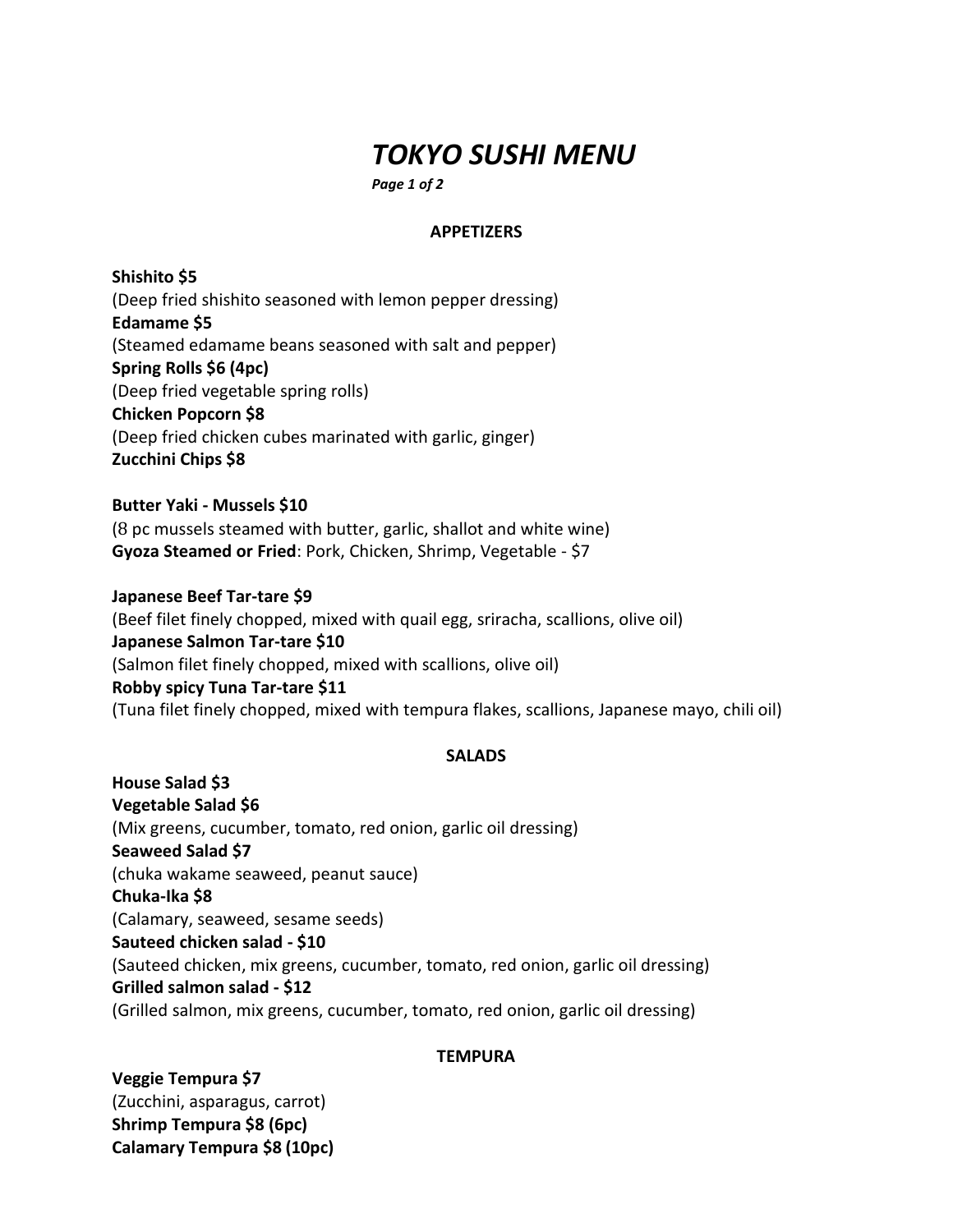# *TOKYO SUSHI MENU*

*Page 1 of 2*

# **APPETIZERS**

**Shishito \$5** (Deep fried shishito seasoned with lemon pepper dressing) **Edamame \$5** (Steamed edamame beans seasoned with salt and pepper) **Spring Rolls \$6 (4pc)** (Deep fried vegetable spring rolls) **Chicken Popcorn \$8** (Deep fried chicken cubes marinated with garlic, ginger) **Zucchini Chips \$8**

**Butter Yaki - Mussels \$10** (8 pc mussels steamed with butter, garlic, shallot and white wine) **Gyoza Steamed or Fried**: Pork, Chicken, Shrimp, Vegetable - \$7

**Japanese Beef Tar-tare \$9** (Beef filet finely chopped, mixed with quail egg, sriracha, scallions, olive oil) **Japanese Salmon Tar-tare \$10** (Salmon filet finely chopped, mixed with scallions, olive oil) **Robby spicy Tuna Tar-tare \$11** (Tuna filet finely chopped, mixed with tempura flakes, scallions, Japanese mayo, chili oil)

#### **SALADS**

**House Salad \$3 Vegetable Salad \$6** (Mix greens, cucumber, tomato, red onion, garlic oil dressing) **Seaweed Salad \$7** (chuka wakame seaweed, peanut sauce) **Chuka-Ika \$8** (Calamary, seaweed, sesame seeds) **Sauteed chicken salad - \$10** (Sauteed chicken, mix greens, cucumber, tomato, red onion, garlic oil dressing) **Grilled salmon salad - \$12** (Grilled salmon, mix greens, cucumber, tomato, red onion, garlic oil dressing)

#### **TEMPURA**

**Veggie Tempura \$7**  (Zucchini, asparagus, carrot) **Shrimp Tempura \$8 (6pc) Calamary Tempura \$8 (10pc)**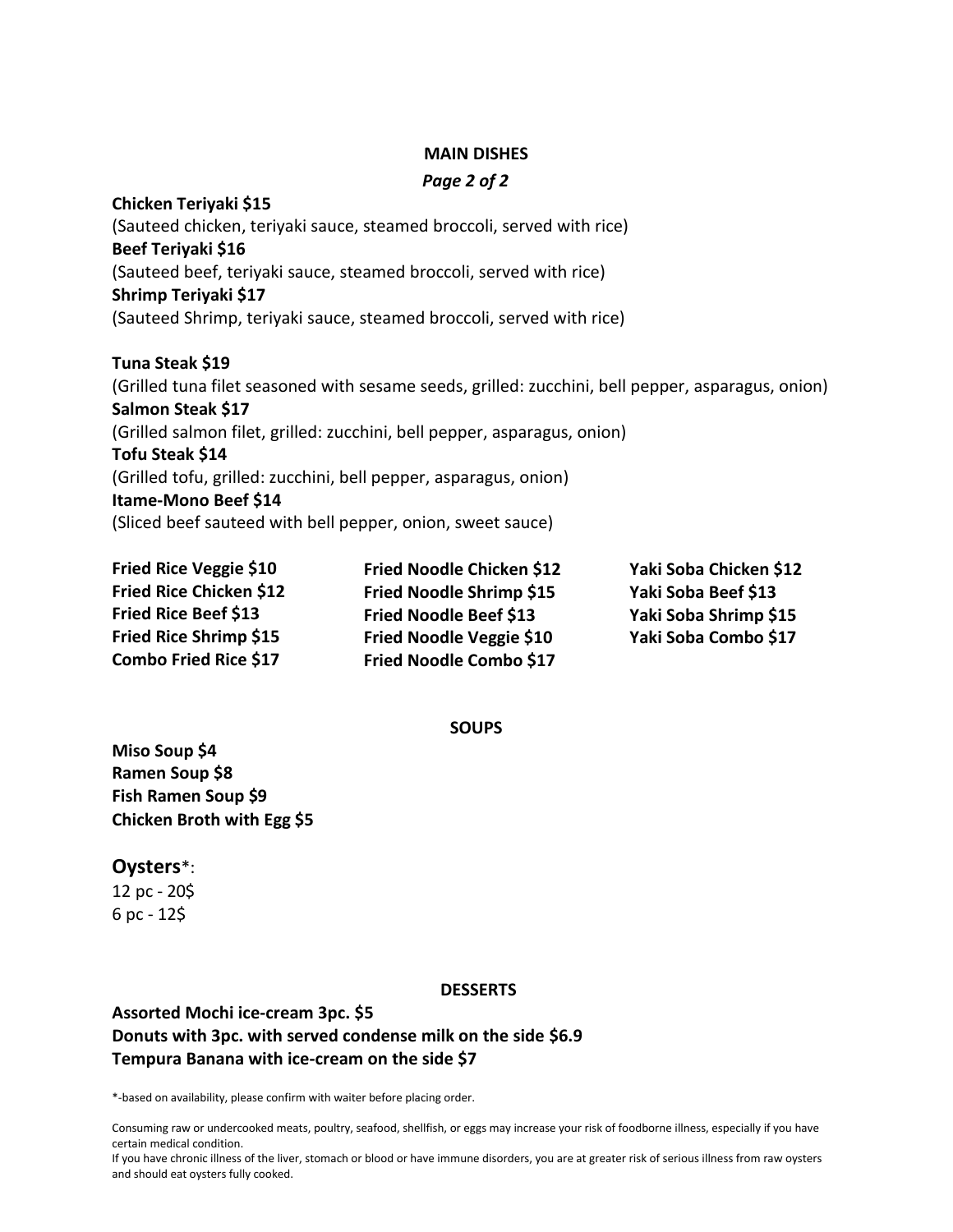#### **MAIN DISHES**

#### *Page 2 of 2*

**Chicken Teriyaki \$15** (Sauteed chicken, teriyaki sauce, steamed broccoli, served with rice) **Beef Teriyaki \$16** (Sauteed beef, teriyaki sauce, steamed broccoli, served with rice) **Shrimp Teriyaki \$17** (Sauteed Shrimp, teriyaki sauce, steamed broccoli, served with rice) **Tuna Steak \$19** (Grilled tuna filet seasoned with sesame seeds, grilled: zucchini, bell pepper, asparagus, onion) **Salmon Steak \$17**

(Grilled salmon filet, grilled: zucchini, bell pepper, asparagus, onion)

#### **Tofu Steak \$14**

(Grilled tofu, grilled: zucchini, bell pepper, asparagus, onion)

#### **Itame-Mono Beef \$14**

(Sliced beef sauteed with bell pepper, onion, sweet sauce)

**Fried Rice Veggie \$10 Fried Rice Chicken \$12 Fried Rice Beef \$13 Fried Rice Shrimp \$15 Combo Fried Rice \$17**

**Fried Noodle Chicken \$12 Fried Noodle Shrimp \$15 Fried Noodle Beef \$13 Fried Noodle Veggie \$10 Fried Noodle Combo \$17**

**Yaki Soba Chicken \$12 Yaki Soba Beef \$13 Yaki Soba Shrimp \$15 Yaki Soba Combo \$17**

**SOUPS**

**Miso Soup \$4 Ramen Soup \$8 Fish Ramen Soup \$9 Chicken Broth with Egg \$5**

#### **Oysters**\*:

12 pc - 20\$  $6$  pc - 12\$

#### **DESSERTS**

# **Assorted Mochi ice-cream 3pc. \$5 Donuts with 3pc. with served condense milk on the side \$6.9 Tempura Banana with ice-cream on the side \$7**

\*-based on availability, please confirm with waiter before placing order.

Consuming raw or undercooked meats, poultry, seafood, shellfish, or eggs may increase your risk of foodborne illness, especially if you have certain medical condition.

If you have chronic illness of the liver, stomach or blood or have immune disorders, you are at greater risk of serious illness from raw oysters and should eat oysters fully cooked.